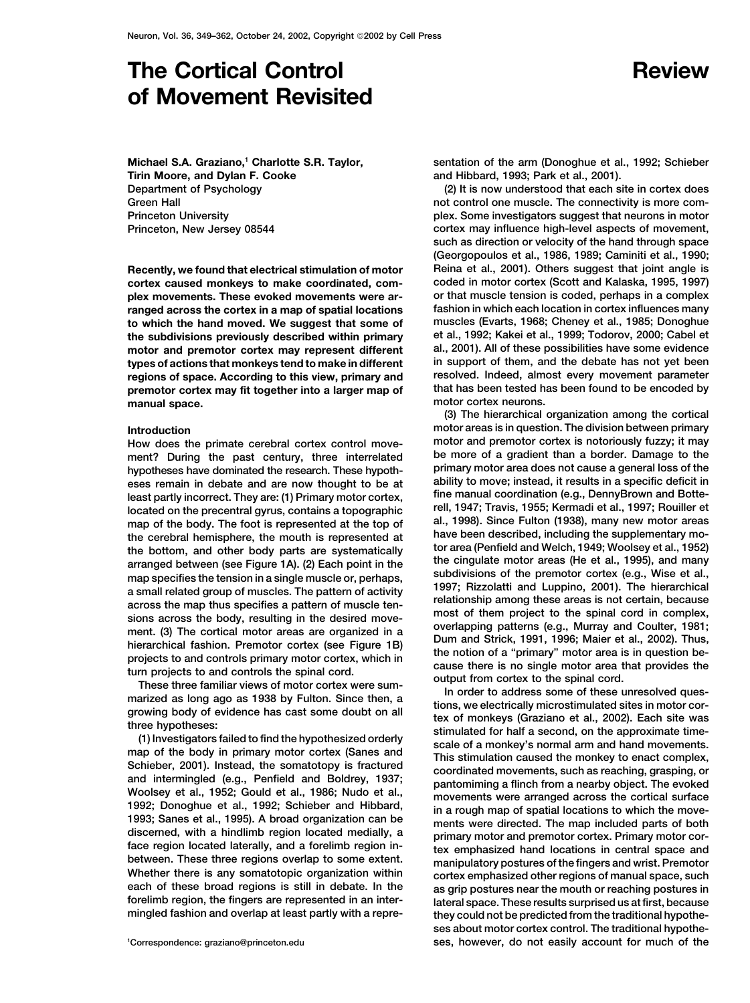## **The Cortical Control <b>Review** Review **of Movement Revisited**

**Michael S.A. Graziano,1 Charlotte S.R. Taylor, Tirin Moore, and Dylan F. Cooke Department of Psychology**

**cortex caused monkeys to make coordinated, com- coded in motor cortex (Scott and Kalaska, 1995, 1997) plex movements. These evoked movements were ar- or that muscle tension is coded, perhaps in a complex ranged across the cortex in a map of spatial locations fashion in which each location in cortex influences many to which the hand moved. We suggest that some of muscles (Evarts, 1968; Cheney et al., 1985; Donoghue the subdivisions previously described within primary et al., 1992; Kakei et al., 1999; Todorov, 2000; Cabel et motor and premotor cortex may represent different al., 2001). All of these possibilities have some evidence types of actions that monkeys tend to make in different in support of them, and the debate has not yet been regions of space. According to this view, primary and resolved. Indeed, almost every movement parameter** premotor cortex may fit together into a larger map of **manual space. motor cortex neurons.** 

**ment? During the past century, three interrelated be more of a gradient than a border. Damage to the hypotheses have dominated the research. These hypoth- primary motor area does not cause a general loss of the eses remain in debate and are now thought to be at ability to move; instead, it results in a specific deficit in fine manual coordination (e.g., DennyBrown and Botte- least partly incorrect. They are: (1) Primary motor cortex, rell, 1947; Travis, 1955; Kermadi et al., 1997; Rouiller et located on the precentral gyrus, contains a topographic map of the body. The foot is represented at the top of al., 1998). Since Fulton (1938), many new motor areas** the cerebral hemisphere, the mouth is represented at the bottom, and other body parts are systematically<br>the bottom, and other body parts are systematically<br>arranged between (see Figure 1A). (2) Each point in the the cingu **map specifies the tension in a single muscle or, perhaps, subdivisions of the premotor cortex (e.g., Wise et al.,**

**sentation of the arm (Donoghue et al., 1992; Schieber and Hibbard, 1993; Park et al., 2001).**

**(2) It is now understood that each site in cortex does Green Hall not control one muscle. The connectivity is more com-Princeton University plex. Some investigators suggest that neurons in motor Princeton, New Jersey 08544 cortex may influence high-level aspects of movement, such as direction or velocity of the hand through space (Georgopoulos et al., 1986, 1989; Caminiti et al., 1990; Recently, we found that electrical stimulation of motor Reina et al., 2001). Others suggest that joint angle is**

**(3) The hierarchical organization among the cortical Introduction motor areas is in question. The division between primary How does the primate cerebral cortex control move- motor and premotor cortex is notoriously fuzzy; it may**

a small related group of muscles. The pattern of activity<br>apsy: Rizzolati and Lupino, 2001. The hierarchical<br>across the map thus specifies a pattern of muscle ten-<br>across the body, resulting in the desired move<br>ment. (3) T **each of these broad regions is still in debate. In the as grip postures near the mouth or reaching postures in forelimb region, the fingers are represented in an inter- lateral space. These results surprised us at first, because mingled fashion and overlap at least partly with a repre- they could not be predicted from the traditional hypotheses about motor cortex control. The traditional hypotheses, however, do not easily account for much of the <sup>1</sup>**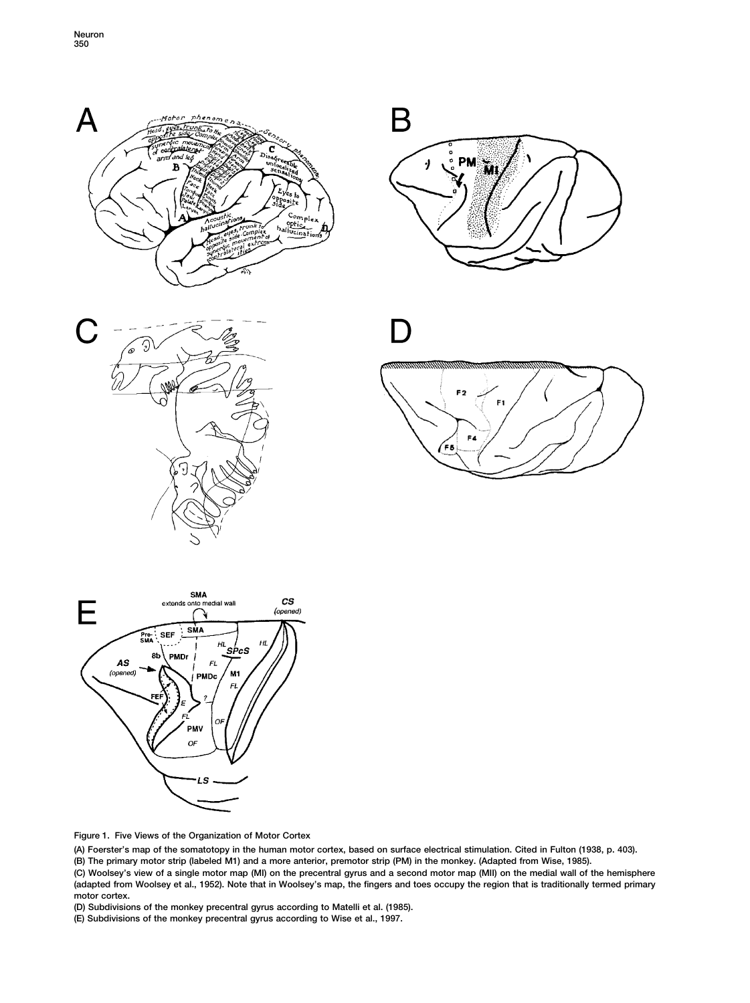





D





**Figure 1. Five Views of the Organization of Motor Cortex**

**(A) Foerster's map of the somatotopy in the human motor cortex, based on surface electrical stimulation. Cited in Fulton (1938, p. 403).**

**(B) The primary motor strip (labeled M1) and a more anterior, premotor strip (PM) in the monkey. (Adapted from Wise, 1985).**

**(C) Woolsey's view of a single motor map (MI) on the precentral gyrus and a second motor map (MII) on the medial wall of the hemisphere (adapted from Woolsey et al., 1952). Note that in Woolsey's map, the fingers and toes occupy the region that is traditionally termed primary motor cortex.**

**(D) Subdivisions of the monkey precentral gyrus according to Matelli et al. (1985).**

**(E) Subdivisions of the monkey precentral gyrus according to Wise et al., 1997.**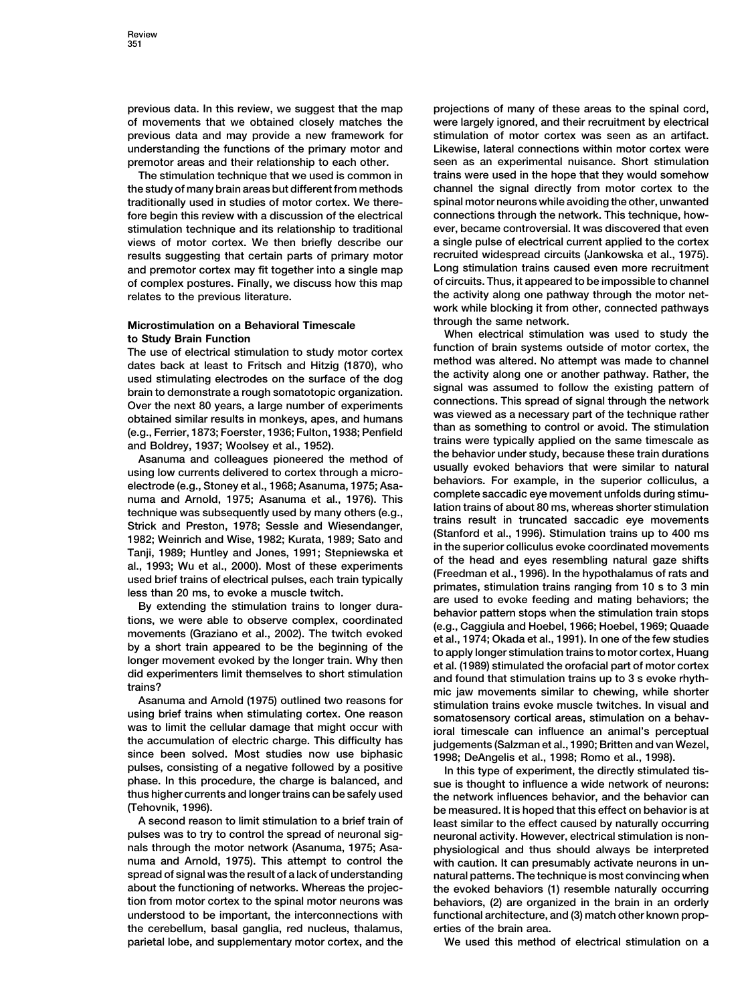**previous data. In this review, we suggest that the map projections of many of these areas to the spinal cord,**

**the study of many brain areas but different from methods channel the signal directly from motor cortex to the traditionally used in studies of motor cortex. We there- spinal motor neurons while avoiding the other, unwanted fore begin this review with a discussion of the electrical connections through the network. This technique, howstimulation technique and its relationship to traditional ever, became controversial. It was discovered that even views of motor cortex. We then briefly describe our a single pulse of electrical current applied to the cortex results suggesting that certain parts of primary motor recruited widespread circuits (Jankowska et al., 1975). and premotor cortex may fit together into a single map Long stimulation trains caused even more recruitment of complex postures. Finally, we discuss how this map of circuits. Thus, it appeared to be impossible to channel relates to the previous literature. the activity along one pathway through the motor net-**

# **Microstimulation on a Behavioral Timescale through the same network.**<br> **the Study Brain Function**<br> **the Study Brain Function**

using brief trains when stimulating cortex. One reason<br>was to limit the cellular damage that might occur with<br>the accumulation of electric charge. This difficulty has<br>since been solved. Most studies now use biphasic<br>pulses pulses, consisting of a negative followed by a positive and this type of experiment, the directly stimulated tis-<br>phase. In this procedure, the charge is balanced, and sue is thought to influence a wide network of neurons: **thus higher currents and longer trains can be safely used the network influences behavior, and the behavior can**

**pulses was to try to control the spread of neuronal sig- neuronal activity. However, electrical stimulation is nonnuma and Arnold, 1975). This attempt to control the with caution. It can presumably activate neurons in unspread of signal was the result of a lack of understanding natural patterns. The technique is most convincing when about the functioning of networks. Whereas the projec- the evoked behaviors (1) resemble naturally occurring tion from motor cortex to the spinal motor neurons was behaviors, (2) are organized in the brain in an orderly understood to be important, the interconnections with functional architecture, and (3) match other known propthe cerebellum, basal ganglia, red nucleus, thalamus, erties of the brain area. parietal lobe, and supplementary motor cortex, and the We used this method of electrical stimulation on a**

**of movements that we obtained closely matches the were largely ignored, and their recruitment by electrical previous data and may provide a new framework for stimulation of motor cortex was seen as an artifact. understanding the functions of the primary motor and Likewise, lateral connections within motor cortex were premotor areas and their relationship to each other. seen as an experimental nuisance. Short stimulation The stimulation technique that we used is common in trains were used in the hope that they would somehow work while blocking it from other, connected pathways**

to Study Brain Function of study motor contex through that is the sead to study the sead to study then the studient of the sead of ordor cortex, the dates back at least to Fritsch and Hitzig (1870), who method was altered.

**(Tehovnik, 1996). be measured. It is hoped that this effect on behavior is at** least similar to the effect caused by naturally occurring physiological and thus should always be interpreted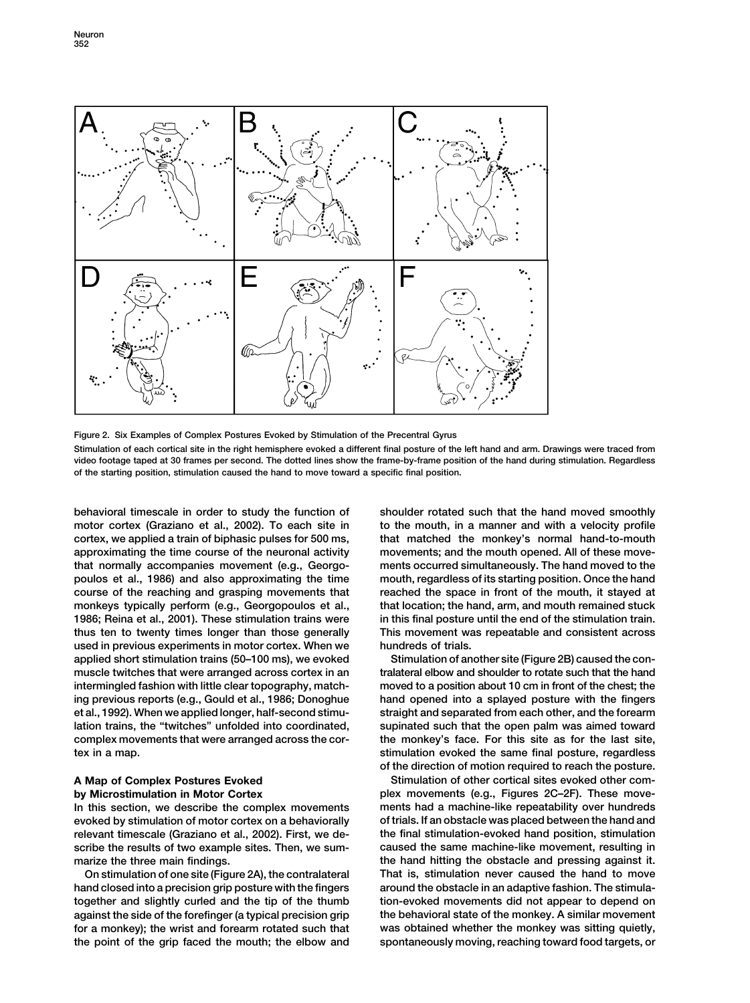

**Figure 2. Six Examples of Complex Postures Evoked by Stimulation of the Precentral Gyrus**

**Stimulation of each cortical site in the right hemisphere evoked a different final posture of the left hand and arm. Drawings were traced from video footage taped at 30 frames per second. The dotted lines show the frame-by-frame position of the hand during stimulation. Regardless of the starting position, stimulation caused the hand to move toward a specific final position.**

**behavioral timescale in order to study the function of shoulder rotated such that the hand moved smoothly approximating the time course of the neuronal activity movements; and the mouth opened. All of these movethat normally accompanies movement (e.g., Georgo- ments occurred simultaneously. The hand moved to the poulos et al., 1986) and also approximating the time mouth, regardless of its starting position. Once the hand 1986; Reina et al., 2001). These stimulation trains were in this final posture until the end of the stimulation train. thus ten to twenty times longer than those generally This movement was repeatable and consistent across used in previous experiments in motor cortex. When we hundreds of trials. applied short stimulation trains (50–100 ms), we evoked Stimulation of another site (Figure 2B) caused the conmuscle twitches that were arranged across cortex in an tralateral elbow and shoulder to rotate such that the hand intermingled fashion with little clear topography, match- moved to a position about 10 cm in front of the chest; the ing previous reports (e.g., Gould et al., 1986; Donoghue hand opened into a splayed posture with the fingers et al., 1992). When we applied longer, half-second stimu- straight and separated from each other, and the forearm lation trains, the "twitches" unfolded into coordinated, supinated such that the open palm was aimed toward complex movements that were arranged across the cor- the monkey's face. For this site as for the last site, tex in a map. stimulation evoked the same final posture, regardless**

**evoked by stimulation of motor cortex on a behaviorally of trials. If an obstacle was placed between the hand and relevant timescale (Graziano et al., 2002). First, we de- the final stimulation-evoked hand position, stimulation scribe the results of two example sites. Then, we sum- caused the same machine-like movement, resulting in marize the three main findings. the hand hitting the obstacle and pressing against it.**

**motor cortex (Graziano et al., 2002). To each site in to the mouth, in a manner and with a velocity profile cortex, we applied a train of biphasic pulses for 500 ms, that matched the monkey's normal hand-to-mouth course of the reaching and grasping movements that reached the space in front of the mouth, it stayed at monkeys typically perform (e.g., Georgopoulos et al., that location; the hand, arm, and mouth remained stuck**

**of the direction of motion required to reach the posture.**

**A Map of Complex Postures Evoked Stimulation of other cortical sites evoked other com**by Microstimulation in Motor Cortex **by Microstimulation** in Motor Cortex **by Microstimulation** in Motor Cortex **In this section, we describe the complex movements ments had a machine-like repeatability over hundreds On stimulation of one site (Figure 2A), the contralateral That is, stimulation never caused the hand to move hand closed into a precision grip posture with the fingers around the obstacle in an adaptive fashion. The stimulatogether and slightly curled and the tip of the thumb tion-evoked movements did not appear to depend on against the side of the forefinger (a typical precision grip the behavioral state of the monkey. A similar movement for a monkey); the wrist and forearm rotated such that was obtained whether the monkey was sitting quietly, the point of the grip faced the mouth; the elbow and spontaneously moving, reaching toward food targets, or**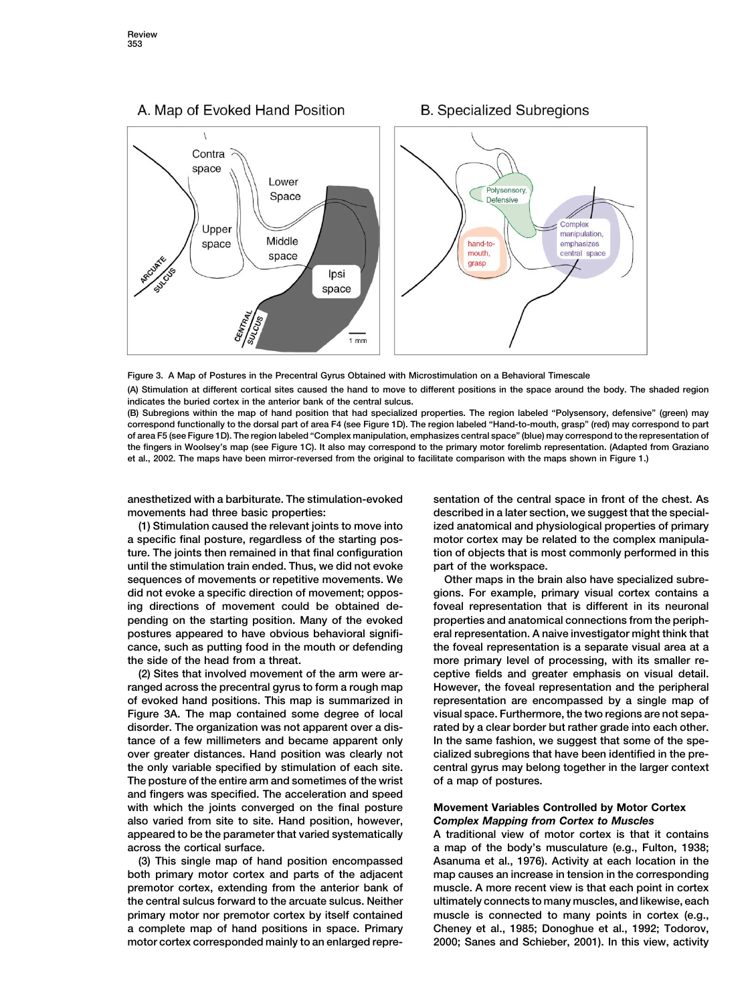



**(A) Stimulation at different cortical sites caused the hand to move to different positions in the space around the body. The shaded region indicates the buried cortex in the anterior bank of the central sulcus.**

**(B) Subregions within the map of hand position that had specialized properties. The region labeled "Polysensory, defensive" (green) may correspond functionally to the dorsal part of area F4 (see Figure 1D). The region labeled "Hand-to-mouth, grasp" (red) may correspond to part of area F5 (see Figure 1D). The region labeled "Complex manipulation, emphasizes central space" (blue) may correspond to the representation of the fingers in Woolsey's map (see Figure 1C). It also may correspond to the primary motor forelimb representation. (Adapted from Graziano et al., 2002. The maps have been mirror-reversed from the original to facilitate comparison with the maps shown in Figure 1.)**

**movements had three basic properties: described in a later section, we suggest that the special-**

**a specific final posture, regardless of the starting pos- motor cortex may be related to the complex manipulature. The joints then remained in that final configuration tion of objects that is most commonly performed in this until the stimulation train ended. Thus, we did not evoke part of the workspace.** sequences of movements or repetitive movements. We **Other maps in the brain also have specialized subredid not evoke a specific direction of movement; oppos- gions. For example, primary visual cortex contains a ing directions of movement could be obtained de- foveal representation that is different in its neuronal pending on the starting position. Many of the evoked properties and anatomical connections from the periphpostures appeared to have obvious behavioral signifi- eral representation. A naive investigator might think that cance, such as putting food in the mouth or defending the foveal representation is a separate visual area at a**

**ranged across the precentral gyrus to form a rough map However, the foveal representation and the peripheral of evoked hand positions. This map is summarized in representation are encompassed by a single map of** Figure 3A. The map contained some degree of local visual space. Furthermore, the two regions are not sepa**disorder. The organization was not apparent over a dis- rated by a clear border but rather grade into each other.** tance of a few millimeters and became apparent only ln the same fashion, we suggest that some of the spe**over greater distances. Hand position was clearly not cialized subregions that have been identified in the prethe only variable specified by stimulation of each site. central gyrus may belong together in the larger context The posture of the entire arm and sometimes of the wrist of a map of postures. and fingers was specified. The acceleration and speed with which the joints converged on the final posture Movement Variables Controlled by Motor Cortex also varied from site to site. Hand position, however,** *Complex Mapping from Cortex to Muscles* **appeared to be the parameter that varied systematically A traditional view of motor cortex is that it contains across the cortical surface. a map of the body's musculature (e.g., Fulton, 1938;**

**both primary motor cortex and parts of the adjacent map causes an increase in tension in the corresponding premotor cortex, extending from the anterior bank of muscle. A more recent view is that each point in cortex the central sulcus forward to the arcuate sulcus. Neither ultimately connects to many muscles, and likewise, each primary motor nor premotor cortex by itself contained muscle is connected to many points in cortex (e.g., a complete map of hand positions in space. Primary Cheney et al., 1985; Donoghue et al., 1992; Todorov, motor cortex corresponded mainly to an enlarged repre- 2000; Sanes and Schieber, 2001). In this view, activity**

**anesthetized with a barbiturate. The stimulation-evoked sentation of the central space in front of the chest. As (1) Stimulation caused the relevant joints to move into ized anatomical and physiological properties of primary**

**the side of the head from a threat. more primary level of processing, with its smaller re- (2) Sites that involved movement of the arm were ar- ceptive fields and greater emphasis on visual detail.**

**(3) This single map of hand position encompassed Asanuma et al., 1976). Activity at each location in the**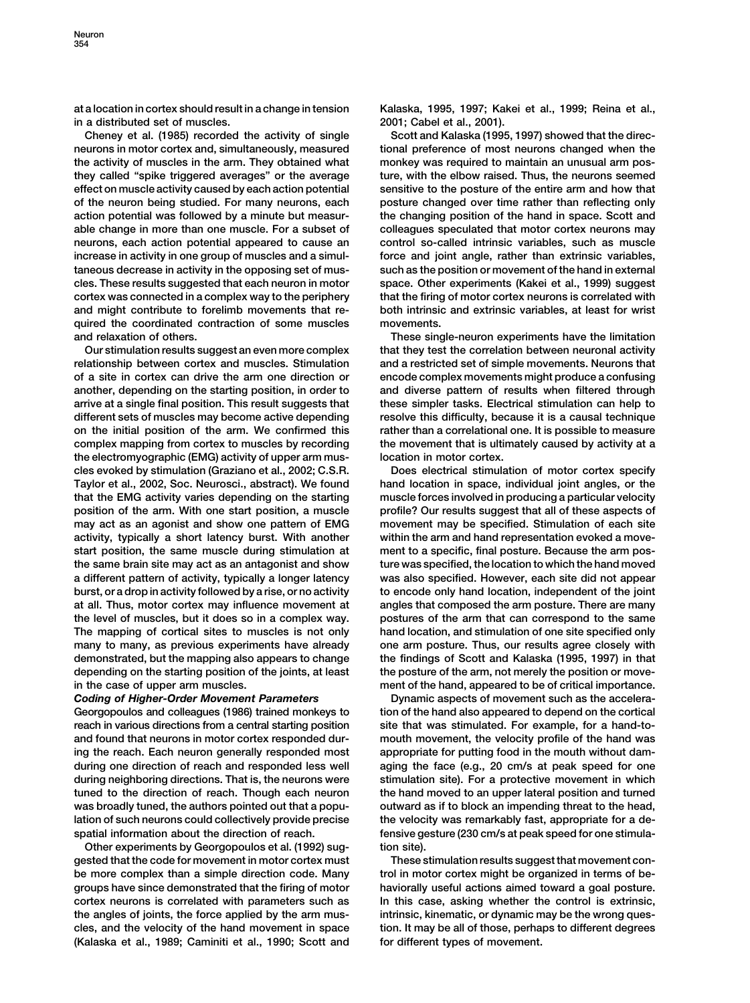**in a distributed set of muscles. 2001; Cabel et al., 2001).**

**neurons in motor cortex and, simultaneously, measured tional preference of most neurons changed when the the activity of muscles in the arm. They obtained what monkey was required to maintain an unusual arm posthey called "spike triggered averages" or the average ture, with the elbow raised. Thus, the neurons seemed effect on muscle activity caused by each action potential sensitive to the posture of the entire arm and how that of the neuron being studied. For many neurons, each posture changed over time rather than reflecting only action potential was followed by a minute but measur- the changing position of the hand in space. Scott and able change in more than one muscle. For a subset of colleagues speculated that motor cortex neurons may neurons, each action potential appeared to cause an control so-called intrinsic variables, such as muscle increase in activity in one group of muscles and a simul- force and joint angle, rather than extrinsic variables, taneous decrease in activity in the opposing set of mus- such as the position or movement of the hand in external cles. These results suggested that each neuron in motor space. Other experiments (Kakei et al., 1999) suggest cortex was connected in a complex way to the periphery that the firing of motor cortex neurons is correlated with and might contribute to forelimb movements that re- both intrinsic and extrinsic variables, at least for wrist quired the coordinated contraction of some muscles movements. and relaxation of others. These single-neuron experiments have the limitation**

**relationship between cortex and muscles. Stimulation and a restricted set of simple movements. Neurons that of a site in cortex can drive the arm one direction or encode complex movements might produce a confusing another, depending on the starting position, in order to and diverse pattern of results when filtered through arrive at a single final position. This result suggests that these simpler tasks. Electrical stimulation can help to different sets of muscles may become active depending resolve this difficulty, because it is a causal technique on the initial position of the arm. We confirmed this rather than a correlational one. It is possible to measure complex mapping from cortex to muscles by recording the movement that is ultimately caused by activity at a the electromyographic (EMG) activity of upper arm mus- location in motor cortex. cles evoked by stimulation (Graziano et al., 2002; C.S.R. Does electrical stimulation of motor cortex specify Taylor et al., 2002, Soc. Neurosci., abstract). We found hand location in space, individual joint angles, or the that the EMG activity varies depending on the starting muscle forces involved in producing a particular velocity position of the arm. With one start position, a muscle profile? Our results suggest that all of these aspects of may act as an agonist and show one pattern of EMG movement may be specified. Stimulation of each site activity, typically a short latency burst. With another within the arm and hand representation evoked a movestart position, the same muscle during stimulation at ment to a specific, final posture. Because the arm posthe same brain site may act as an antagonist and show ture was specified, the location to which the hand moved a different pattern of activity, typically a longer latency was also specified. However, each site did not appear burst, or a drop in activity followed by a rise, or no activity to encode only hand location, independent of the joint at all. Thus, motor cortex may influence movement at angles that composed the arm posture. There are many the level of muscles, but it does so in a complex way. postures of the arm that can correspond to the same The mapping of cortical sites to muscles is not only hand location, and stimulation of one site specified only many to many, as previous experiments have already one arm posture. Thus, our results agree closely with demonstrated, but the mapping also appears to change the findings of Scott and Kalaska (1995, 1997) in that** depending on the starting position of the joints, at least the posture of the arm, not merely the position or move**in the case of upper arm muscles. ment of the hand, appeared to be of critical importance.**

**Georgopoulos and colleagues (1986) trained monkeys to tion of the hand also appeared to depend on the cortical reach in various directions from a central starting position site that was stimulated. For example, for a hand-toand found that neurons in motor cortex responded dur- mouth movement, the velocity profile of the hand was ing the reach. Each neuron generally responded most appropriate for putting food in the mouth without damduring one direction of reach and responded less well aging the face (e.g., 20 cm/s at peak speed for one during neighboring directions. That is, the neurons were stimulation site). For a protective movement in which tuned to the direction of reach. Though each neuron the hand moved to an upper lateral position and turned** was broadly tuned, the authors pointed out that a popu-<br>outward as if to block an impending threat to the head, **lation of such neurons could collectively provide precise the velocity was remarkably fast, appropriate for a de-**

**Other experiments by Georgopoulos et al. (1992) sug- tion site). the angles of joints, the force applied by the arm mus- intrinsic, kinematic, or dynamic may be the wrong ques-(Kalaska et al., 1989; Caminiti et al., 1990; Scott and for different types of movement.**

**at a location in cortex should result in a change in tension Kalaska, 1995, 1997; Kakei et al., 1999; Reina et al.,**

**Cheney et al. (1985) recorded the activity of single Scott and Kalaska (1995, 1997) showed that the direc-**

**Our stimulation results suggest an even more complex that they test the correlation between neuronal activity**

**Coding of Higher-Order Movement Parameters Dynamic aspects of movement such as the accelera**spatial information about the direction of reach. **Fact 1 and 1 and 1 and 1 and 1 and 1 and 1 and 1 and 1 and 1 a** 

**gested that the code for movement in motor cortex must These stimulation results suggest that movement conbe more complex than a simple direction code. Many trol in motor cortex might be organized in terms of begroups have since demonstrated that the firing of motor haviorally useful actions aimed toward a goal posture. cortex neurons is correlated with parameters such as In this case, asking whether the control is extrinsic, cles, and the velocity of the hand movement in space tion. It may be all of those, perhaps to different degrees**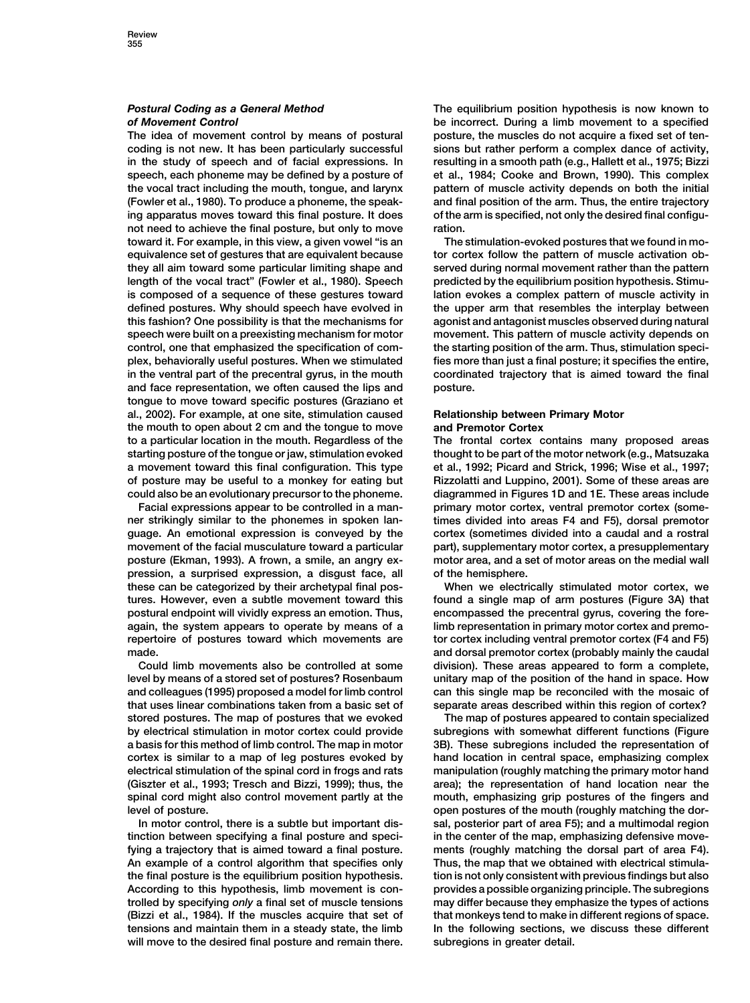The idea of movement control by means of postural posture, the muscles do not acquire a fixed set of ten**coding is not new. It has been particularly successful sions but rather perform a complex dance of activity, in the study of speech and of facial expressions. In resulting in a smooth path (e.g., Hallett et al., 1975; Bizzi speech, each phoneme may be defined by a posture of et al., 1984; Cooke and Brown, 1990). This complex the vocal tract including the mouth, tongue, and larynx pattern of muscle activity depends on both the initial (Fowler et al., 1980). To produce a phoneme, the speak- and final position of the arm. Thus, the entire trajectory ing apparatus moves toward this final posture. It does of the arm is specified, not only the desired final configunot need to achieve the final posture, but only to move ration. toward it. For example, in this view, a given vowel "is an The stimulation-evoked postures that we found in moequivalence set of gestures that are equivalent because tor cortex follow the pattern of muscle activation obthey all aim toward some particular limiting shape and served during normal movement rather than the pattern length of the vocal tract" (Fowler et al., 1980). Speech predicted by the equilibrium position hypothesis. Stimuis composed of a sequence of these gestures toward lation evokes a complex pattern of muscle activity in defined postures. Why should speech have evolved in the upper arm that resembles the interplay between this fashion? One possibility is that the mechanisms for agonist and antagonist muscles observed during natural speech were built on a preexisting mechanism for motor movement. This pattern of muscle activity depends on control, one that emphasized the specification of com- the starting position of the arm. Thus, stimulation speciplex, behaviorally useful postures. When we stimulated fies more than just a final posture; it specifies the entire, in the ventral part of the precentral gyrus, in the mouth coordinated trajectory that is aimed toward the final and face representation, we often caused the lips and posture. tongue to move toward specific postures (Graziano et al., 2002). For example, at one site, stimulation caused Relationship between Primary Motor the mouth to open about 2 cm and the tongue to move and Premotor Cortex to a particular location in the mouth. Regardless of the The frontal cortex contains many proposed areas starting posture of the tongue or jaw, stimulation evoked thought to be part of the motor network (e.g., Matsuzaka a movement toward this final configuration. This type et al., 1992; Picard and Strick, 1996; Wise et al., 1997; of posture may be useful to a monkey for eating but Rizzolatti and Luppino, 2001). Some of these areas are could also be an evolutionary precursor to the phoneme. diagrammed in Figures 1D and 1E. These areas include**

**ner strikingly similar to the phonemes in spoken lan- times divided into areas F4 and F5), dorsal premotor guage. An emotional expression is conveyed by the cortex (sometimes divided into a caudal and a rostral movement of the facial musculature toward a particular part), supplementary motor cortex, a presupplementary posture (Ekman, 1993). A frown, a smile, an angry ex- motor area, and a set of motor areas on the medial wall pression, a surprised expression, a disgust face, all of the hemisphere. these can be categorized by their archetypal final pos- When we electrically stimulated motor cortex, we tures. However, even a subtle movement toward this found a single map of arm postures (Figure 3A) that postural endpoint will vividly express an emotion. Thus, encompassed the precentral gyrus, covering the fore**again, the system appears to operate by means of a limb representation in primary motor cortex and premo**repertoire of postures toward which movements are tor cortex including ventral premotor cortex (F4 and F5) made. and dorsal premotor cortex (probably mainly the caudal**

**level by means of a stored set of postures? Rosenbaum unitary map of the position of the hand in space. How and colleagues (1995) proposed a model for limb control can this single map be reconciled with the mosaic of that uses linear combinations taken from a basic set of separate areas described within this region of cortex? stored postures. The map of postures that we evoked The map of postures appeared to contain specialized by electrical stimulation in motor cortex could provide subregions with somewhat different functions (Figure a basis for this method of limb control. The map in motor 3B). These subregions included the representation of cortex is similar to a map of leg postures evoked by hand location in central space, emphasizing complex electrical stimulation of the spinal cord in frogs and rats manipulation (roughly matching the primary motor hand (Giszter et al., 1993; Tresch and Bizzi, 1999); thus, the area); the representation of hand location near the spinal cord might also control movement partly at the mouth, emphasizing grip postures of the fingers and level of posture. open postures of the mouth (roughly matching the dor-**

tinction between specifying a final posture and speci-<br>in the center of the map, emphasizing defensive move**fying a trajectory that is aimed toward a final posture. ments (roughly matching the dorsal part of area F4). An example of a control algorithm that specifies only Thus, the map that we obtained with electrical stimulathe final posture is the equilibrium position hypothesis. tion is not only consistent with previous findings but also According to this hypothesis, limb movement is con- provides a possible organizing principle. The subregions trolled by specifying** *only* **a final set of muscle tensions may differ because they emphasize the types of actions (Bizzi et al., 1984). If the muscles acquire that set of that monkeys tend to make in different regions of space. tensions and maintain them in a steady state, the limb In the following sections, we discuss these different** will move to the desired final posture and remain there. subregions in greater detail.

*Postural Coding as a General Method* **The equilibrium position hypothesis is now known to** *of Movement Control* **be incorrect. During a limb movement to a specified**

**Facial expressions appear to be controlled in a man- primary motor cortex, ventral premotor cortex (some-**

**Could limb movements also be controlled at some division). These areas appeared to form a complete,**

**In motor control, there is a subtle but important dis- sal, posterior part of area F5); and a multimodal region**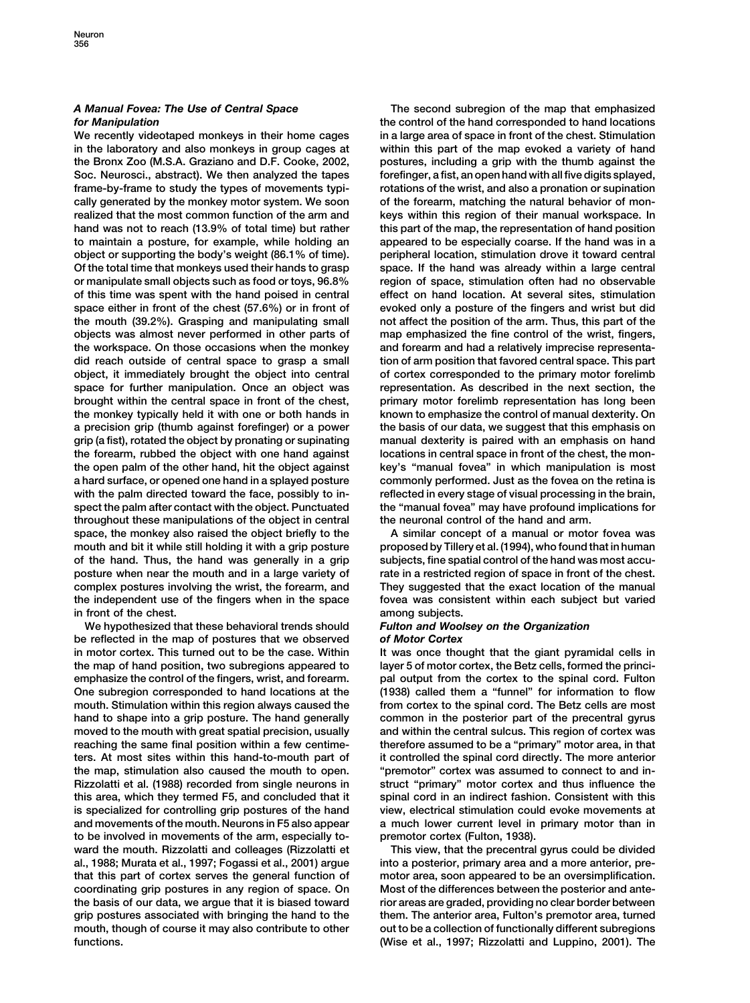**in the laboratory and also monkeys in group cages at within this part of the map evoked a variety of hand the Bronx Zoo (M.S.A. Graziano and D.F. Cooke, 2002, postures, including a grip with the thumb against the Soc. Neurosci., abstract). We then analyzed the tapes forefinger, a fist, an open hand with all five digits splayed, frame-by-frame to study the types of movements typi- rotations of the wrist, and also a pronation or supination cally generated by the monkey motor system. We soon of the forearm, matching the natural behavior of monrealized that the most common function of the arm and keys within this region of their manual workspace. In hand was not to reach (13.9% of total time) but rather this part of the map, the representation of hand position to maintain a posture, for example, while holding an appeared to be especially coarse. If the hand was in a object or supporting the body's weight (86.1% of time). peripheral location, stimulation drove it toward central Of the total time that monkeys used their hands to grasp space. If the hand was already within a large central or manipulate small objects such as food or toys, 96.8% region of space, stimulation often had no observable of this time was spent with the hand poised in central effect on hand location. At several sites, stimulation space either in front of the chest (57.6%) or in front of evoked only a posture of the fingers and wrist but did the mouth (39.2%). Grasping and manipulating small not affect the position of the arm. Thus, this part of the objects was almost never performed in other parts of map emphasized the fine control of the wrist, fingers, the workspace. On those occasions when the monkey and forearm and had a relatively imprecise representadid reach outside of central space to grasp a small tion of arm position that favored central space. This part object, it immediately brought the object into central of cortex corresponded to the primary motor forelimb space for further manipulation. Once an object was representation. As described in the next section, the brought within the central space in front of the chest, primary motor forelimb representation has long been the monkey typically held it with one or both hands in known to emphasize the control of manual dexterity. On a precision grip (thumb against forefinger) or a power the basis of our data, we suggest that this emphasis on grip (a fist), rotated the object by pronating or supinating manual dexterity is paired with an emphasis on hand the forearm, rubbed the object with one hand against locations in central space in front of the chest, the monthe open palm of the other hand, hit the object against key's "manual fovea" in which manipulation is most a hard surface, or opened one hand in a splayed posture commonly performed. Just as the fovea on the retina is with the palm directed toward the face, possibly to in- reflected in every stage of visual processing in the brain, spect the palm after contact with the object. Punctuated the "manual fovea" may have profound implications for throughout these manipulations of the object in central the neuronal control of the hand and arm.** space, the monkey also raised the object briefly to the A similar concept of a manual or motor fovea was **mouth and bit it while still holding it with a grip posture proposed by Tillery et al. (1994), who found that in human of the hand. Thus, the hand was generally in a grip subjects, fine spatial control of the hand was most accuposture when near the mouth and in a large variety of rate in a restricted region of space in front of the chest. complex postures involving the wrist, the forearm, and They suggested that the exact location of the manual the independent use of the fingers when in the space fovea was consistent within each subject but varied in front of the chest. among subjects.**

**We hypothesized that these behavioral trends should** *Fulton and Woolsey on the Organization* **be reflected in the map of postures that we observed** *of Motor Cortex* **in motor cortex. This turned out to be the case. Within It was once thought that the giant pyramidal cells in the map of hand position, two subregions appeared to layer 5 of motor cortex, the Betz cells, formed the princiemphasize the control of the fingers, wrist, and forearm. pal output from the cortex to the spinal cord. Fulton One subregion corresponded to hand locations at the (1938) called them a "funnel" for information to flow mouth. Stimulation within this region always caused the from cortex to the spinal cord. The Betz cells are most hand to shape into a grip posture. The hand generally common in the posterior part of the precentral gyrus moved to the mouth with great spatial precision, usually and within the central sulcus. This region of cortex was reaching the same final position within a few centime- therefore assumed to be a "primary" motor area, in that ters. At most sites within this hand-to-mouth part of it controlled the spinal cord directly. The more anterior the map, stimulation also caused the mouth to open. "premotor" cortex was assumed to connect to and in-Rizzolatti et al. (1988) recorded from single neurons in struct "primary" motor cortex and thus influence the this area, which they termed F5, and concluded that it spinal cord in an indirect fashion. Consistent with this is specialized for controlling grip postures of the hand view, electrical stimulation could evoke movements at and movements of the mouth. Neurons in F5 also appear a much lower current level in primary motor than in to be involved in movements of the arm, especially to- premotor cortex (Fulton, 1938).** ward the mouth. Rizzolatti and colleages (Rizzolatti et This view, that the precentral gyrus could be divided **al., 1988; Murata et al., 1997; Fogassi et al., 2001) argue into a posterior, primary area and a more anterior, prethat this part of cortex serves the general function of motor area, soon appeared to be an oversimplification. coordinating grip postures in any region of space. On Most of the differences between the posterior and antethe basis of our data, we argue that it is biased toward rior areas are graded, providing no clear border between grip postures associated with bringing the hand to the them. The anterior area, Fulton's premotor area, turned mouth, though of course it may also contribute to other out to be a collection of functionally different subregions functions. (Wise et al., 1997; Rizzolatti and Luppino, 2001). The**

*A Manual Fovea: The Use of Central Space* **The second subregion of the map that emphasized** *for Manipulation* **<b>the control of the hand corresponded to hand locations** We recently videotaped monkeys in their home cages in a large area of space in front of the chest. Stimulation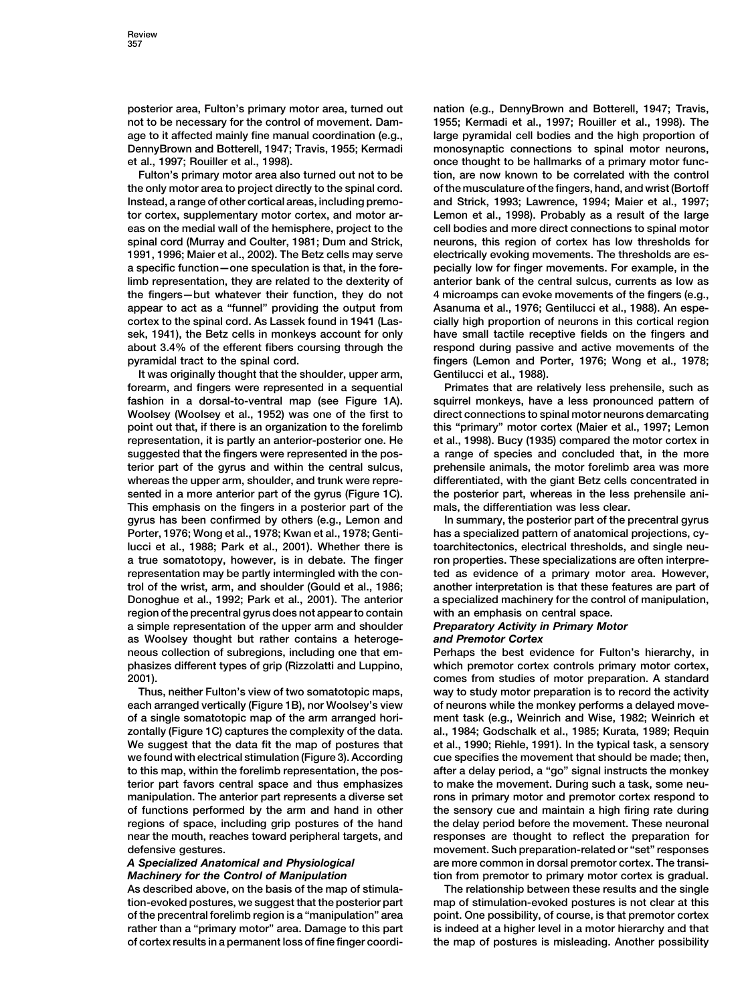**posterior area, Fulton's primary motor area, turned out nation (e.g., DennyBrown and Botterell, 1947; Travis, not to be necessary for the control of movement. Dam- 1955; Kermadi et al., 1997; Rouiller et al., 1998). The age to it affected mainly fine manual coordination (e.g., large pyramidal cell bodies and the high proportion of DennyBrown and Botterell, 1947; Travis, 1955; Kermadi monosynaptic connections to spinal motor neurons,** et al., 1997; Rouiller et al., 1998). *once thought to be hallmarks of a primary motor func***-**

the only motor area to project directly to the spinal cord. of the musculature of the fingers, hand, and wrist (Bortoff **Instead, a range of other cortical areas, including premo- and Strick, 1993; Lawrence, 1994; Maier et al., 1997; tor cortex, supplementary motor cortex, and motor ar- Lemon et al., 1998). Probably as a result of the large eas on the medial wall of the hemisphere, project to the cell bodies and more direct connections to spinal motor** spinal cord (Murray and Coulter, 1981; Dum and Strick, neurons, this region of cortex has low thresholds for **1991, 1996; Maier et al., 2002). The Betz cells may serve electrically evoking movements. The thresholds are esa specific function—one speculation is that, in the fore- pecially low for finger movements. For example, in the limb representation, they are related to the dexterity of anterior bank of the central sulcus, currents as low as the fingers—but whatever their function, they do not 4 microamps can evoke movements of the fingers (e.g., appear to act as a "funnel" providing the output from Asanuma et al., 1976; Gentilucci et al., 1988). An especortex to the spinal cord. As Lassek found in 1941 (Las- cially high proportion of neurons in this cortical region sek, 1941), the Betz cells in monkeys account for only have small tactile receptive fields on the fingers and about 3.4% of the efferent fibers coursing through the respond during passive and active movements of the pyramidal tract to the spinal cord. fingers (Lemon and Porter, 1976; Wong et al., 1978;**

**It was originally thought that the shoulder, upper arm, Gentilucci et al., 1988). forearm, and fingers were represented in a sequential Primates that are relatively less prehensile, such as fashion in a dorsal-to-ventral map (see Figure 1A). squirrel monkeys, have a less pronounced pattern of Woolsey (Woolsey et al., 1952) was one of the first to direct connections to spinal motor neurons demarcating point out that, if there is an organization to the forelimb this "primary" motor cortex (Maier et al., 1997; Lemon representation, it is partly an anterior-posterior one. He et al., 1998). Bucy (1935) compared the motor cortex in suggested that the fingers were represented in the pos- a range of species and concluded that, in the more terior part of the gyrus and within the central sulcus, prehensile animals, the motor forelimb area was more whereas the upper arm, shoulder, and trunk were repre- differentiated, with the giant Betz cells concentrated in sented in a more anterior part of the gyrus (Figure 1C). the posterior part, whereas in the less prehensile ani-This emphasis on the fingers in a posterior part of the mals, the differentiation was less clear. gyrus has been confirmed by others (e.g., Lemon and In summary, the posterior part of the precentral gyrus** Porter, 1976; Wong et al., 1978; Kwan et al., 1978; Genti-**has a specialized pattern of anatomical projections**, cy**lucci et al., 1988; Park et al., 2001). Whether there is toarchitectonics, electrical thresholds, and single neua true somatotopy, however, is in debate. The finger ron properties. These specializations are often interprerepresentation may be partly intermingled with the con- ted as evidence of a primary motor area. However, trol of the wrist, arm, and shoulder (Gould et al., 1986; another interpretation is that these features are part of Donoghue et al., 1992; Park et al., 2001). The anterior a specialized machinery for the control of manipulation, region of the precentral gyrus does not appear to contain with an emphasis on central space. a simple representation of the upper arm and shoulder** *Preparatory Activity in Primary Motor* **as Woolsey thought but rather contains a heteroge-** *and Premotor Cortex* **neous collection of subregions, including one that em- Perhaps the best evidence for Fulton's hierarchy, in phasizes different types of grip (Rizzolatti and Luppino, which premotor cortex controls primary motor cortex,**

**each arranged vertically (Figure 1B), nor Woolsey's view of neurons while the monkey performs a delayed moveof a single somatotopic map of the arm arranged hori- ment task (e.g., Weinrich and Wise, 1982; Weinrich et zontally (Figure 1C) captures the complexity of the data. al., 1984; Godschalk et al., 1985; Kurata, 1989; Requin We suggest that the data fit the map of postures that et al., 1990; Riehle, 1991). In the typical task, a sensory we found with electrical stimulation (Figure 3). According cue specifies the movement that should be made; then, to this map, within the forelimb representation, the pos- after a delay period, a "go" signal instructs the monkey terior part favors central space and thus emphasizes to make the movement. During such a task, some neumanipulation. The anterior part represents a diverse set rons in primary motor and premotor cortex respond to of functions performed by the arm and hand in other the sensory cue and maintain a high firing rate during regions of space, including grip postures of the hand the delay period before the movement. These neuronal near the mouth, reaches toward peripheral targets, and responses are thought to reflect the preparation for defensive gestures. movement. Such preparation-related or "set" responses**

**As described above, on the basis of the map of stimula- The relationship between these results and the single tion-evoked postures, we suggest that the posterior part map of stimulation-evoked postures is not clear at this of the precentral forelimb region is a "manipulation" area point. One possibility, of course, is that premotor cortex rather than a "primary motor" area. Damage to this part is indeed at a higher level in a motor hierarchy and that of cortex results in a permanent loss of fine finger coordi- the map of postures is misleading. Another possibility**

**Fulton's primary motor area also turned out not to be tion, are now known to be correlated with the control**

**2001). comes from studies of motor preparation. A standard Thus, neither Fulton's view of two somatotopic maps, way to study motor preparation is to record the activity** *A Specialized Anatomical and Physiological* **are more common in dorsal premotor cortex. The transi-***Machinery for the Control of Manipulation* **tion from premotor to primary motor cortex is gradual.**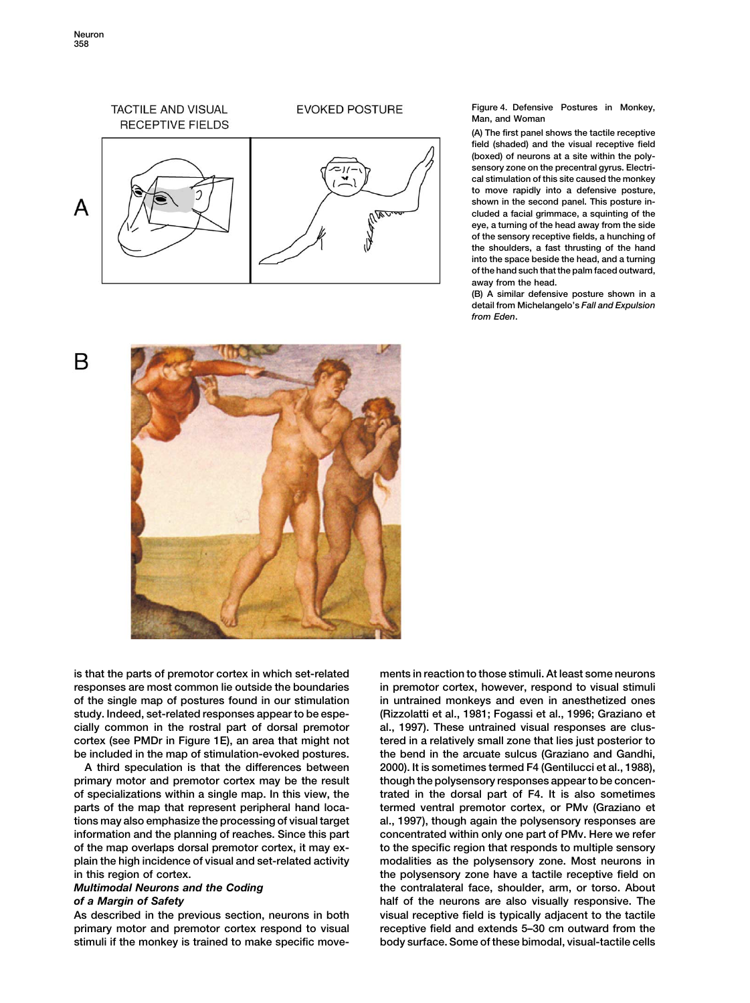

**Figure 4. Defensive Postures in Monkey, Man, and Woman**

**(A) The first panel shows the tactile receptive field (shaded) and the visual receptive field (boxed) of neurons at a site within the polysensory zone on the precentral gyrus. Electrical stimulation of this site caused the monkey to move rapidly into a defensive posture, shown in the second panel. This posture included a facial grimmace, a squinting of the eye, a turning of the head away from the side of the sensory receptive fields, a hunching of the shoulders, a fast thrusting of the hand into the space beside the head, and a turning of the hand such that the palm faced outward, away from the head.**

**(B) A similar defensive posture shown in a detail from Michelangelo's** *Fall and Expulsion from Eden***.**

B



**responses are most common lie outside the boundaries in premotor cortex, however, respond to visual stimuli of the single map of postures found in our stimulation in untrained monkeys and even in anesthetized ones study. Indeed, set-related responses appear to be espe- (Rizzolatti et al., 1981; Fogassi et al., 1996; Graziano et cially common in the rostral part of dorsal premotor al., 1997). These untrained visual responses are cluscortex (see PMDr in Figure 1E), an area that might not tered in a relatively small zone that lies just posterior to be included in the map of stimulation-evoked postures. the bend in the arcuate sulcus (Graziano and Gandhi,**

**primary motor and premotor cortex may be the result though the polysensory responses appear to be concenof specializations within a single map. In this view, the trated in the dorsal part of F4. It is also sometimes tions may also emphasize the processing of visual target al., 1997), though again the polysensory responses are information and the planning of reaches. Since this part concentrated within only one part of PMv. Here we refer of the map overlaps dorsal premotor cortex, it may ex- to the specific region that responds to multiple sensory plain the high incidence of visual and set-related activity modalities as the polysensory zone. Most neurons in**

**primary motor and premotor cortex respond to visual receptive field and extends 5–30 cm outward from the stimuli if the monkey is trained to make specific move- body surface. Some of these bimodal, visual-tactile cells**

**is that the parts of premotor cortex in which set-related ments in reaction to those stimuli. At least some neurons A third speculation is that the differences between 2000). It is sometimes termed F4 (Gentilucci et al., 1988), parts of the map that represent peripheral hand loca- termed ventral premotor cortex, or PMv (Graziano et in this region of cortex. the polysensory zone have a tactile receptive field on** *Multimodal Neurons and the Coding* **the contralateral face, shoulder, arm, or torso. About** *of a Margin of Safety* **half of the neurons are also visually responsive. The As described in the previous section, neurons in both visual receptive field is typically adjacent to the tactile**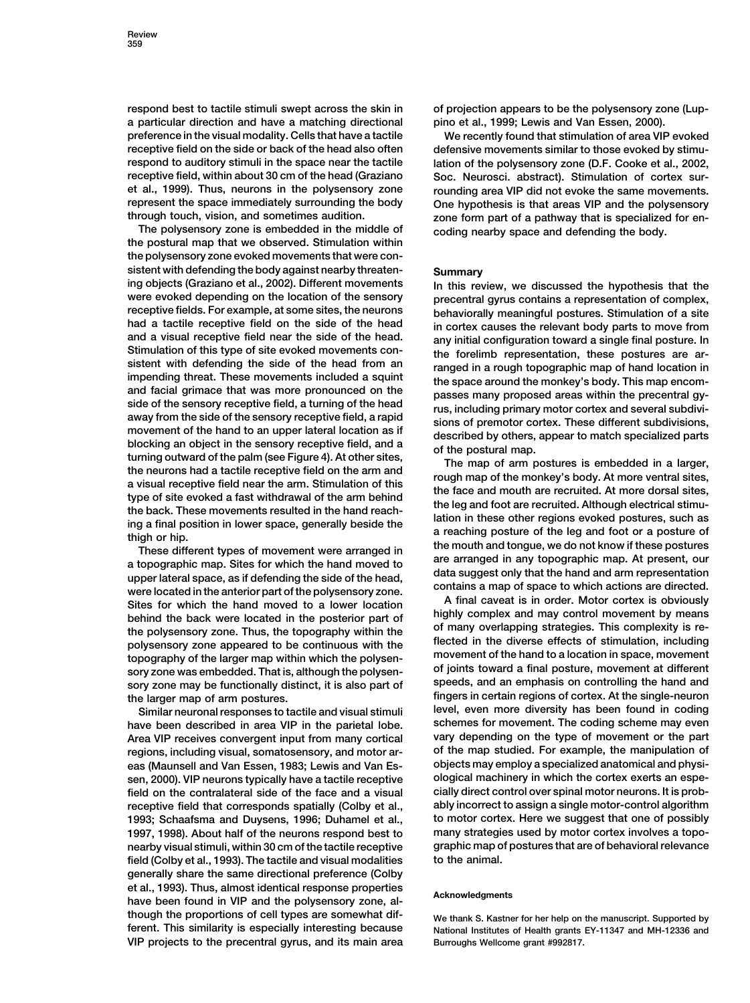**a particular direction and have a matching directional pino et al., 1999; Lewis and Van Essen, 2000). preference in the visual modality. Cells that have a tactile We recently found that stimulation of area VIP evoked receptive field on the side or back of the head also often defensive movements similar to those evoked by stimurespond to auditory stimuli in the space near the tactile lation of the polysensory zone (D.F. Cooke et al., 2002, receptive field, within about 30 cm of the head (Graziano Soc. Neurosci. abstract). Stimulation of cortex suret al., 1999). Thus, neurons in the polysensory zone rounding area VIP did not evoke the same movements. represent the space immediately surrounding the body One hypothesis is that areas VIP and the polysensory**

**the postural map that we observed. Stimulation within the polysensory zone evoked movements that were consistent with defending the body against nearby threaten- Summary ing objects (Graziano et al., 2002). Different movements In this review, we discussed the hypothesis that the were evoked depending on the location of the sensory precentral gyrus contains a representation of complex, receptive fields. For example, at some sites, the neurons behaviorally meaningful postures. Stimulation of a site** had a tactile receptive field on the side of the head<br>and a visual receptive field near the side of the head.<br>Stimulation of this type of site evoked movements con-<br>the forelimb representation, these postures are ar-<br>siste

have been described in area VIP in the parietal lobe. **Area VIP receives convergent input from many cortical vary depending on the type of movement or the part** regions, including visual, somatosensory, and motor ar- <sup>of the</sup> map studied. For example, the manipulation of<br>eas (Maunsell and Van Essen, 1983: Lewis and Van Es- objects may employ a specialized anatomical and physi**eas (Maunsell and Van Essen, 1983; Lewis and Van Es- objects may employ a specialized anatomical and physisen, 2000). VIP neurons typically have a tactile receptive ological machinery in which the cortex exerts an espefield on the contralateral side of the face and a visual cially direct control over spinal motor neurons. It is probreceptive field that corresponds spatially (Colby et al., ably incorrect to assign a single motor-control algorithm 1993; Schaafsma and Duysens, 1996; Duhamel et al., to motor cortex. Here we suggest that one of possibly 1997, 1998). About half of the neurons respond best to many strategies used by motor cortex involves a toponearby visual stimuli, within 30 cm of the tactile receptive graphic map of postures that are of behavioral relevance field (Colby et al., 1993). The tactile and visual modalities to the animal. generally share the same directional preference (Colby et al., 1993). Thus, almost identical response properties Acknowledgments have been found in VIP and the polysensory zone, although the proportions of cell types are somewhat dif- We thank S. Kastner for her help on the manuscript. Supported by ferent. This similarity is especially interesting because National Institutes of Health grants EY-11347 and MH-12336 and VIP** projects to the precentral gyrus, and its main area Burroughs Wellcome grant #992817.

**respond best to tactile stimuli swept across the skin in of projection appears to be the polysensory zone (Lup-**

rough touch, vision, and sometimes audition.<br>The polysensory zone is embedded in the middle of coding nearby space and defending the body. coding nearby space and defending the body.

behind the back were located in the posterior part of<br>the polysensory zone. Thus, the topography within the<br>polysensory zone appeared to be continuous with the<br>topography of the larger map within which the polysen-<br>sory zo **sory zone may be functionally distinct, it is also part of speeds, and an emphasis on controlling the hand and the larger map of arm postures. fingers in certain regions of cortex. At the single-neuron Similar neuronal responses to tactile and visual stimuli level, even more diversity has been found in coding**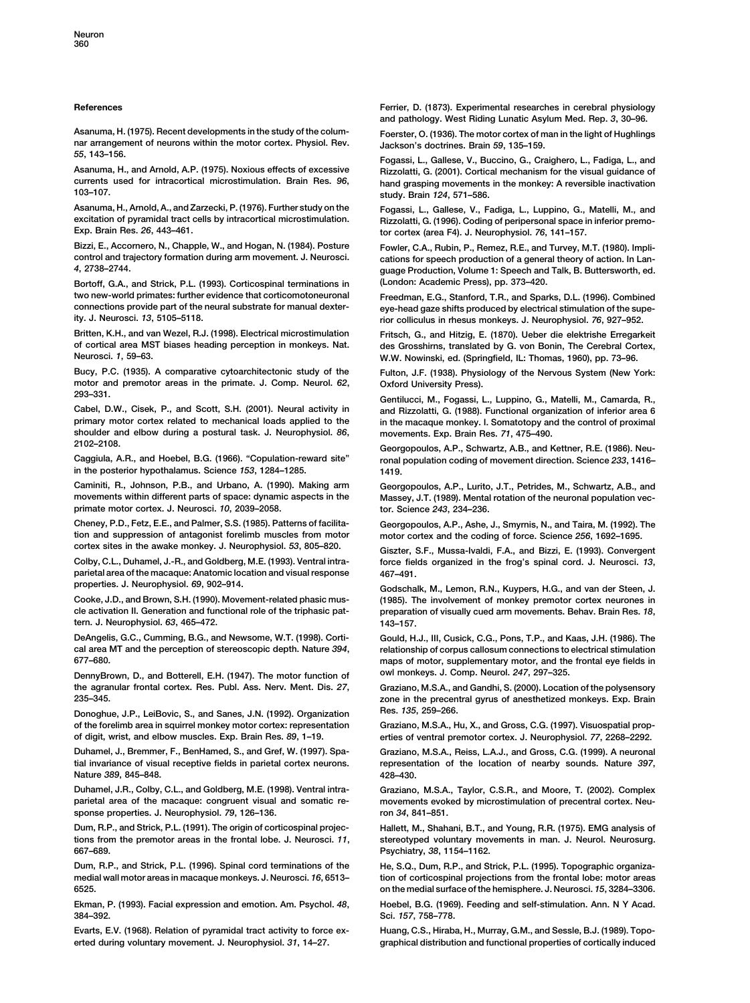**Asanuma, H. (1975). Recent developments in the study of the colum- Foerster, O. (1936). The motor cortex of man in the light of Hughlings nar arrangement of neurons within the motor cortex. Physiol. Rev. Jackson's doctrines. Brain** *59***, 135–159.**

**Asanuma, H., and Arnold, A.P. (1975). Noxious effects of excessive Rizzolatti, G. (2001). Cortical mechanism for the visual guidance of currents used for intracortical microstimulation. Brain Res.** *96***, hand grasping movements in the monkey: A reversible inactivation**

**Asanuma, H., Arnold, A., and Zarzecki, P. (1976). Further study on the Fogassi, L., Gallese, V., Fadiga, L., Luppino, G., Matelli, M., and excitation of pyramidal tract cells by intracortical microstimulation. Rizzolatti, G. (1996). Coding of peripersonal space in inferior premo-**

**Bizzi, E., Accornero, N., Chapple, W., and Hogan, N. (1984). Posture Fowler, C.A., Rubin, P., Remez, R.E., and Turvey, M.T. (1980). Impli-**

**Bortoff, G.A., and Strick, P.L. (1993). Corticospinal terminations in (London: Academic Press), pp. 373–420. two new-world primates: further evidence that corticomotoneuronal Freedman, E.G., Stanford, T.R., and Sparks, D.L. (1996). Combined connections provide part of the neural substrate for manual dexter- eye-head gaze shifts produced by electrical stimulation of the supe-**

**Britten, K.H., and van Wezel, R.J. (1998). Electrical microstimulation Fritsch, G., and Hitzig, E. (1870). Ueber die elektrishe Erregarkeit Neurosci.** *1***, 59–63. W.W. Nowinski, ed. (Springfield, IL: Thomas, 1960), pp. 73–96.**

**Bucy, P.C. (1935). A comparative cytoarchitectonic study of the Fulton, J.F. (1938). Physiology of the Nervous System (New York: motor and premotor areas in the primate. J. Comp. Neurol.** *62***, Oxford University Press).**

**shoulder and elbow during a postural task. J. Neurophysiol.** *86***, movements. Exp. Brain Res.** *71***, 475–490.**

**in the posterior hypothalamus. Science** *153***, 1284–1285. 1419.**

**Caminiti, R., Johnson, P.B., and Urbano, A. (1990). Making arm Georgopoulos, A.P., Lurito, J.T., Petrides, M., Schwartz, A.B., and primate motor cortex. J. Neurosci.** *10***, 2039–2058. tor. Science** *243***, 234–236.**

**tion and suppression of antagonist forelimb muscles from motor motor cortex and the coding of force. Science** *256***, 1692–1695.**

**parietal area of the macaque: Anatomic location and visual response 467–491.**

**tern. J. Neurophysiol.** *63***, 465–472. 143–157.**

**DennyBrown, D., and Botterell, E.H. (1947). The motor function of owl monkeys. J. Comp. Neurol.** *247***, 297–325. the agranular frontal cortex. Res. Publ. Ass. Nerv. Ment. Dis.** *27***, Graziano, M.S.A., and Gandhi, S. (2000). Location of the polysensory**

**Donoghue, J.P., LeiBovic, S., and Sanes, J.N. (1992). Organization Res.** *135***, 259–266. of the forelimb area in squirrel monkey motor cortex: representation Graziano, M.S.A., Hu, X., and Gross, C.G. (1997). Visuospatial prop-**

**Nature** *389***, 845–848. 428–430.**

**sponse properties. J. Neurophysiol.** *79***, 126–136. ron** *34***, 841–851.**

**tions from the premotor areas in the frontal lobe. J. Neurosci.** *11***, stereotyped voluntary movements in man. J. Neurol. Neurosurg. 667–689. Psychiatry,** *38***, 1154–1162.**

**384–392. Sci.** *157***, 758–778.**

**References Ferrier, D. (1873). Experimental researches in cerebral physiology and pathology. West Riding Lunatic Asylum Med. Rep.** *3***, 30–96.**

*<sup>55</sup>***, 143–156. Fogassi, L., Gallese, V., Buccino, G., Craighero, L., Fadiga, L., and 103–107. study. Brain** *124***, 571–586.**

**Exp. Brain Res.** *26***, 443–461. tor cortex (area F4). J. Neurophysiol.** *76***, 141–157.**

**control and trajectory formation during arm movement. J. Neurosci. cations for speech production of a general theory of action. In Lan-***4***, 2738–2744. guage Production, Volume 1: Speech and Talk, B. Buttersworth, ed.**

**ity. J. Neurosci.** *13***, 5105–5118. rior colliculus in rhesus monkeys. J. Neurophysiol.** *76***, 927–952.**

des Grosshirns, translated by G. von Bonin, The Cerebral Cortex,

**293–331. Gentilucci, M., Fogassi, L., Luppino, G., Matelli, M., Camarda, R., Cabel, D.W., Cisek, P., and Scott, S.H. (2001). Neural activity in and Rizzolatti, G. (1988). Functional organization of inferior area 6 primary motor cortex related to mechanical loads applied to the in the macaque monkey. I. Somatotopy and the control of proximal**

**2102–2108. Georgopoulos, A.P., Schwartz, A.B., and Kettner, R.E. (1986). Neu-Caggiula, A.R., and Hoebel, B.G. (1966). "Copulation-reward site" ronal population coding of movement direction. Science** *233***, 1416–**

**movements within different parts of space: dynamic aspects in the Massey, J.T. (1989). Mental rotation of the neuronal population vec-**

**Cheney, P.D., Fetz, E.E., and Palmer, S.S. (1985). Patterns of facilita- Georgopoulos, A.P., Ashe, J., Smyrnis, N., and Taira, M. (1992). The**

**cortex sites in the awake monkey. J. Neurophysiol.** *<sup>53</sup>***, 805–820. Giszter, S.F., Mussa-Ivaldi, F.A., and Bizzi, E. (1993). Convergent Colby, C.L., Duhamel, J.-R., and Goldberg, M.E. (1993). Ventral intra- force fields organized in the frog's spinal cord. J. Neurosci.** *13***,**

**properties. J. Neurophysiol.** *<sup>69</sup>***, 902–914. Godschalk, M., Lemon, R.N., Kuypers, H.G., and van der Steen, J. Cooke, J.D., and Brown, S.H. (1990). Movement-related phasic mus- (1985). The involvement of monkey premotor cortex neurones in cle activation II. Generation and functional role of the triphasic pat- preparation of visually cued arm movements. Behav. Brain Res.** *18***,**

**DeAngelis, G.C., Cumming, B.G., and Newsome, W.T. (1998). Corti- Gould, H.J., III, Cusick, C.G., Pons, T.P., and Kaas, J.H. (1986). The cal area MT and the perception of stereoscopic depth. Nature** *394***, relationship of corpus callosum connections to electrical stimulation 677–680. maps of motor, supplementary motor, and the frontal eye fields in**

**235–345. zone in the precentral gyrus of anesthetized monkeys. Exp. Brain**

**of digit, wrist, and elbow muscles. Exp. Brain Res.** *89***, 1–19. erties of ventral premotor cortex. J. Neurophysiol.** *77***, 2268–2292.**

**Duhamel, J., Bremmer, F., BenHamed, S., and Gref, W. (1997). Spa- Graziano, M.S.A., Reiss, L.A.J., and Gross, C.G. (1999). A neuronal tial invariance of visual receptive fields in parietal cortex neurons. representation of the location of nearby sounds. Nature** *397***,**

**Duhamel, J.R., Colby, C.L., and Goldberg, M.E. (1998). Ventral intra- Graziano, M.S.A., Taylor, C.S.R., and Moore, T. (2002). Complex parietal area of the macaque: congruent visual and somatic re- movements evoked by microstimulation of precentral cortex. Neu-**

**Dum, R.P., and Strick, P.L. (1991). The origin of corticospinal projec- Hallett, M., Shahani, B.T., and Young, R.R. (1975). EMG analysis of**

**Dum, R.P., and Strick, P.L. (1996). Spinal cord terminations of the He, S.Q., Dum, R.P., and Strick, P.L. (1995). Topographic organizamedial wall motor areas in macaque monkeys. J. Neurosci.** *16***, 6513– tion of corticospinal projections from the frontal lobe: motor areas 6525. on the medial surface of the hemisphere. J. Neurosci.** *15***, 3284–3306.**

**Ekman, P. (1993). Facial expression and emotion. Am. Psychol.** *48***, Hoebel, B.G. (1969). Feeding and self-stimulation. Ann. N Y Acad.**

**Evarts, E.V. (1968). Relation of pyramidal tract activity to force ex- Huang, C.S., Hiraba, H., Murray, G.M., and Sessle, B.J. (1989). Topoerted during voluntary movement. J. Neurophysiol.** *31***, 14–27. graphical distribution and functional properties of cortically induced**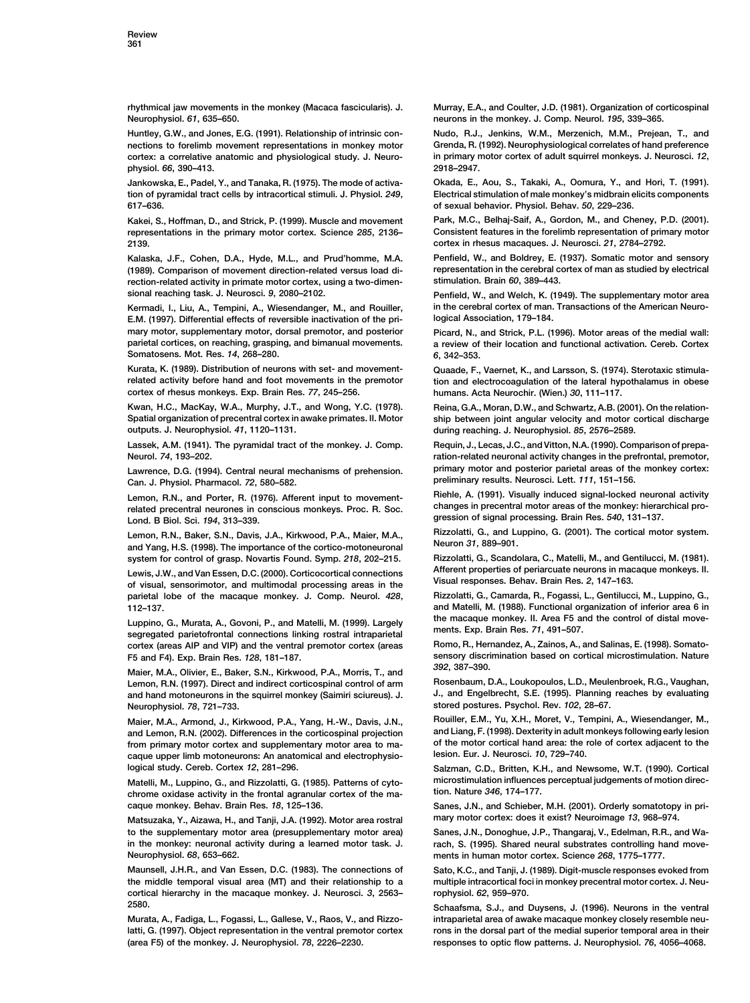**Neurophysiol.** *61***, 635–650. neurons in the monkey. J. Comp. Neurol.** *195***, 339–365.**

nections to forelimb movement representations in monkey motor **cortex: a correlative anatomic and physiological study. J. Neuro- in primary motor cortex of adult squirrel monkeys. J. Neurosci.** *12***, physiol.** *66***, 390–413. 2918–2947.**

**tion of pyramidal tract cells by intracortical stimuli. J. Physiol.** *249***, Electrical stimulation of male monkey's midbrain elicits components 617–636. of sexual behavior. Physiol. Behav.** *50***, 229–236.**

representations in the primary motor cortex. Science 285, 2136– **2139. cortex in rhesus macaques. J. Neurosci.** *21***, 2784–2792.**

**(1989). Comparison of movement direction-related versus load di- representation in the cerebral cortex of man as studied by electrical rection-related activity in primate motor cortex, using a two-dimensional reaching task. J. Neurosci.** *9***, 2080–2102. Penfield, W., and Welch, K. (1949). The supplementary motor area**

**E.M. (1997). Differential effects of reversible inactivation of the primary motor, supplementary motor, dorsal premotor, and posterior Picard, N., and Strick, P.L. (1996). Motor areas of the medial wall: parietal cortices, on reaching, grasping, and bimanual movements. a review of their location and functional activation. Cereb. Cortex Somatosens. Mot. Res.** *14***, 268–280.** *6***, 342–353.**

**Kurata, K. (1989). Distribution of neurons with set- and movement- Quaade, F., Vaernet, K., and Larsson, S. (1974). Sterotaxic stimulacortex of rhesus monkeys. Exp. Brain Res.** *77***, 245–256. humans. Acta Neurochir. (Wien.)** *30***, 111–117.**

**Kwan, H.C., MacKay, W.A., Murphy, J.T., and Wong, Y.C. (1978). Reina, G.A., Moran, D.W., and Schwartz, A.B. (2001). On the relationoutputs. J. Neurophysiol.** *41***, 1120–1131. during reaching. J. Neurophysiol.** *85***, 2576–2589.**

**Lassek, A.M. (1941). The pyramidal tract of the monkey. J. Comp. Requin, J., Lecas, J.C., and Vitton, N.A. (1990). Comparison of prepa-**

**Can. J. Physiol. Pharmacol. preliminary results. Neurosci. Lett.** *111***, 151–156.** *72***, 580–582.**

Lemon, R.N., and Porter, R. (1976). Afferent input to movement-<br>
related precentral neurones in conscious monkeys. Proc. R. Soc.<br>
Lemon, B. Biol. Sci. 194, 313–339.<br>
Lemon, B.N., Baker, S.N., Davis, J.A., Kirkwood, B.A., M

Lemon, R.N., Baker, S.N., Davis, J.A., Kirkwood, P.A., Maier, M.A., Hizzolatti, G., and Luppino, G. (2001). The cortical motor system.<br>and Yang, H.S. (1998). The importance of the cortico-motoneuronal Neuron 31, 889–901.<br>s system for control of grasp. Novartis Found. Symp. 218, 202-215.

Lewis, J.W., and Van Essen, D.C. (2000). Corticocortical connections Afferent properties of periarcuate neurons in macaque monkeys. II.<br>
of visual, sensorimotor, and multimodal processing areas in the Visual responses. Beh parietal lobe of the macaque monkey. J. Comp. Neurol. 428,

Luppino, G., Murata, A., Govoni, P., and Matelli, M. (1999). Largely<br>segregated parietofrontal connections linking rostral intraparietal ments. Exp. Brain Res. 71, 491–507.<br>cortex (areas AIP and VIP) and the ventral premot cortex (areas AIP and VIP) and the ventral premotor cortex (areas

Maier, M.A., Olivier, E., Baker, S.N., Kirkwood, P.A., Morris, T., and *Jac., 367–390.*<br>Lemon, R.N. (1997), Direct and indirect corticospinal control of arm Rosenbaum, D.A., Loukopoulos, L.D., Meulenbroek, R.G., Vaughan, and hand motoneurons in the squirrel monkey (Saimiri sciureus). J. **Neurophysiol.** *78* **stored postures. Psychol. Rev.** *102***, 28–67. , 721–733.**

**and Lemon, R.N. (2002). Differences in the corticospinal projection and Liang, F. (1998). Dexterity in adult monkeys following early lesion from primary motor cortex and supplementary motor area to ma- of the motor cortical hand area: the**<br>Caque upper limb motoneurons: An anatomical and electrophysic- lesion. Eur. J. Neurosci. 10, 729–740. **caque upper limb motoneurons: An anatomical and electrophysio- lesion. Eur. J. Neurosci.** *10***, 729–740. logical study. Cereb. Cortex** *12***, 281–296. Salzman, C.D., Britten, K.H., and Newsome, W.T. (1990). Cortical**

chrome oxidase activity in the frontal agranular cortex of the ma**caque monkey. Behav. Brain Res.** *18***, 125–136. Sanes, J.N., and Schieber, M.H. (2001). Orderly somatotopy in pri-**

**Matsuzaka, Y., Aizawa, H., and Tanji, J.A. (1992). Motor area rostral mary motor cortex: does it exist? Neuroimage** *13***, 968–974. to the supplementary motor area (presupplementary motor area) Sanes, J.N., Donoghue, J.P., Thangaraj, V., Edelman, R.R., and Wain the monkey: neuronal activity during a learned motor task. J. rach, S. (1995). Shared neural substrates controlling hand move-Neurophysiol.** *68***, 653–662. ments in human motor cortex. Science** *268***, 1775–1777.**

**Maunsell, J.H.R., and Van Essen, D.C. (1983). The connections of Sato, K.C., and Tanji, J. (1989). Digit-muscle responses evoked from the middle temporal visual area (MT) and their relationship to a multiple intracortical foci in monkey precentral motor cortex. J. Neucortical hierarchy in the macaque monkey. J. Neurosci.** *3***, 2563– rophysiol.** *62***, 959–970.**

**latti, G. (1997). Object representation in the ventral premotor cortex rons in the dorsal part of the medial superior temporal area in their (area F5) of the monkey. J. Neurophysiol.** *78***, 2226–2230. responses to optic flow patterns. J. Neurophysiol.** *76***, 4056–4068.**

**rhythmical jaw movements in the monkey (Macaca fascicularis). J. Murray, E.A., and Coulter, J.D. (1981). Organization of corticospinal**

**Huntley, G.W., and Jones, E.G. (1991). Relationship of intrinsic con- Nudo, R.J., Jenkins, W.M., Merzenich, M.M., Prejean, T., and**

**Jankowska, E., Padel, Y., and Tanaka, R. (1975). The mode of activa- Okada, E., Aou, S., Takaki, A., Oomura, Y., and Hori, T. (1991).**

**Kakei, S., Hoffman, D., and Strick, P. (1999). Muscle and movement Park, M.C., Belhaj-Saif, A., Gordon, M., and Cheney, P.D. (2001).**

**Kalaska, J.F., Cohen, D.A., Hyde, M.L., and Prud'homme, M.A. Penfield, W., and Boldrey, E. (1937). Somatic motor and sensory**

**Kermadi, I., Liu, A., Tempini, A., Wiesendanger, M., and Rouiller, in the cerebral cortex of man. Transactions of the American Neuro-**

tion and electrocoagulation of the lateral hypothalamus in obese

ship between joint angular velocity and motor cortical discharge

**Neurol.** *74***, 193–202. ration-related neuronal activity changes in the prefrontal, premotor, primary motor and posterior parietal areas of the monkey cortex: Lawrence, D.G. (1994). Central neural mechanisms of prehension.**

**112–137. and Matelli, M. (1988). Functional organization of inferior area 6 in**

**F5 and F4). Exp. Brain Res.** *128***, 181–187. sensory discrimination based on cortical microstimulation. Nature**

**Lemon, R.N. (1997). Direct and indirect corticospinal control of arm Rosenbaum, D.A., Loukopoulos, L.D., Meulenbroek, R.G., Vaughan,**

**Maier, M.A., Armond, J., Kirkwood, P.A., Yang, H.-W., Davis, J.N., Rouiller, E.M., Yu, X.H., Moret, V., Tempini, A., Wiesendanger, M.,**

Matelli, M., Luppino, G., and Rizzolatti, G. (1985). Patterns of cyto-<br>chrome oxidase activity in the frontal agranular cortex of the ma-<br>**1998** tion. Nature 346, 174–177.

**2580. Schaafsma, S.J., and Duysens, J. (1996). Neurons in the ventral** intraparietal area of awake macaque monkey closely resemble neu-